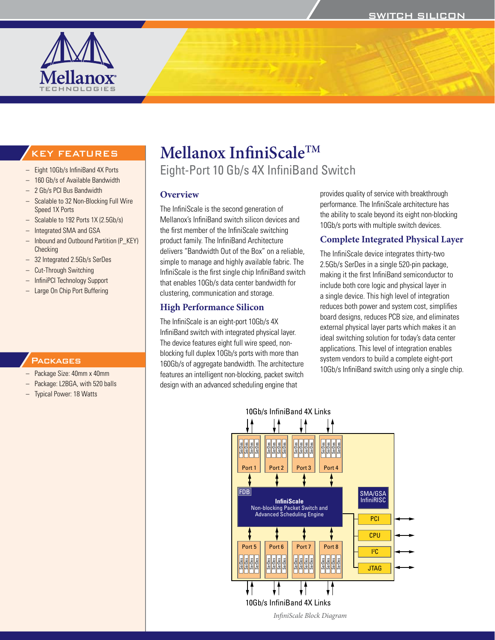

# KEY FEATURES

- Eight 10Gb/s InfiniBand 4X Ports
- 160 Gb/s of Available Bandwidth
- 2 Gb/s PCI Bus Bandwidth
- Scalable to 32 Non-Blocking Full Wire Speed 1X Ports
- Scalable to 192 Ports 1X (2.5Gb/s)
- Integrated SMA and GSA
- Inbound and Outbound Partition (P\_KEY) **Checking**
- 32 Integrated 2.5Gb/s SerDes
- **Cut-Through Switching**
- InfiniPCI Technology Support
- Large On Chip Port Buffering

### **PACKAGES**

- Package Size: 40mm x 40mm
- Package: L2BGA, with 520 balls
- **Typical Power: 18 Watts**

# **Mellanox InfiniScaleTM**

Eight-Port 10 Gb/s 4X InfiniBand Switch

### **Overview**

The InfiniScale is the second generation of Mellanox's InfiniBand switch silicon devices and the first member of the InfiniScale switching product family. The InfiniBand Architecture delivers "Bandwidth Out of the Box" on a reliable, simple to manage and highly available fabric. The InfiniScale is the first single chip InfiniBand switch that enables 10Gb/s data center bandwidth for clustering, communication and storage.

### **High Performance Silicon**

The InfiniScale is an eight-port 10Gb/s 4X InfiniBand switch with integrated physical layer. The device features eight full wire speed, nonblocking full duplex 10Gb/s ports with more than 160Gb/s of aggregate bandwidth. The architecture features an intelligent non-blocking, packet switch design with an advanced scheduling engine that

provides quality of service with breakthrough performance. The InfiniScale architecture has the ability to scale beyond its eight non-blocking 10Gb/s ports with multiple switch devices.

### **Complete Integrated Physical Layer**

The InfiniScale device integrates thirty-two 2.5Gb/s SerDes in a single 520-pin package, making it the first InfiniBand semiconductor to include both core logic and physical layer in a single device. This high level of integration reduces both power and system cost, simplifies board designs, reduces PCB size, and eliminates external physical layer parts which makes it an ideal switching solution for today's data center applications. This level of integration enables system vendors to build a complete eight-port 10Gb/s InfiniBand switch using only a single chip.